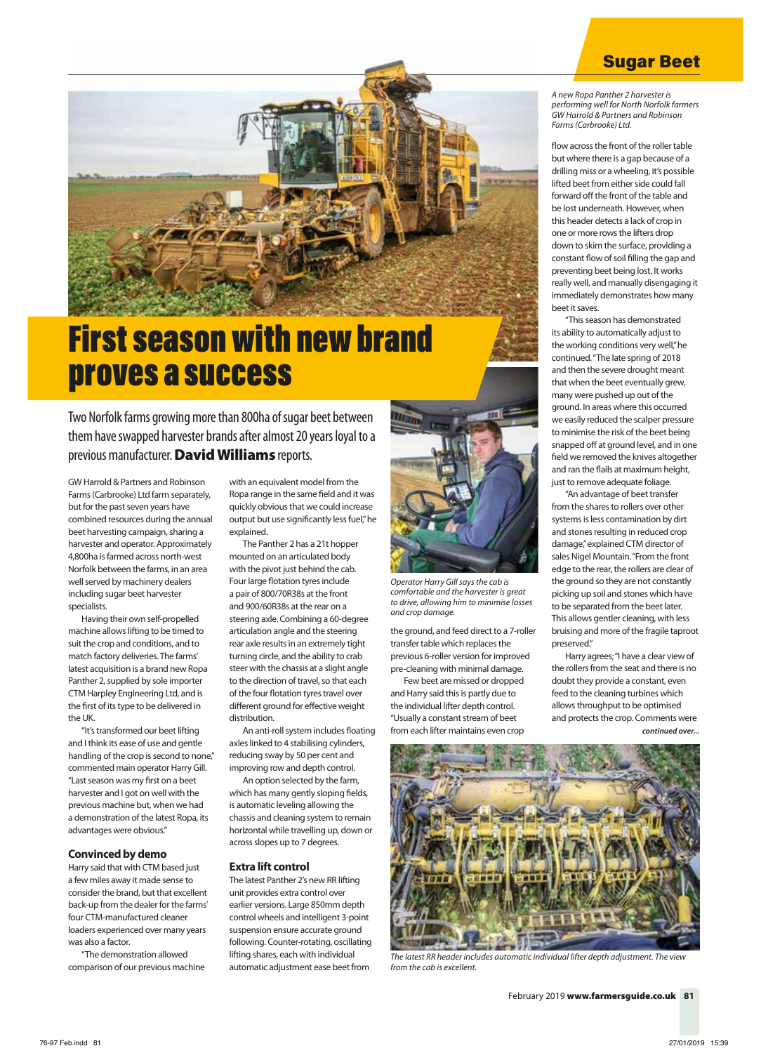# Sugar Beet

*A new Ropa Panther 2 harvester is performing well for North Norfolk farmers GW Harrold & Partners and Robinson Farms (Carbrooke) Ltd.*

flow across the front of the roller table but where there is a gap because of a drilling miss or a wheeling, it's possible lifted beet from either side could fall forward off the front of the table and be lost underneath. However, when this header detects a lack of crop in one or more rows the lifters drop down to skim the surface, providing a constant flow of soil filling the gap and preventing beet being lost. It works really well, and manually disengaging it immediately demonstrates how many beet it saves.

"This season has demonstrated its ability to automatically adjust to the working conditions very well," he continued. "The late spring of 2018 and then the severe drought meant that when the beet eventually grew, many were pushed up out of the ground. In areas where this occurred we easily reduced the scalper pressure to minimise the risk of the beet being snapped off at ground level, and in one field we removed the knives altogether and ran the flails at maximum height, just to remove adequate foliage.

"An advantage of beet transfer from the shares to rollers over other systems is less contamination by dirt and stones resulting in reduced crop damage," explained CTM director of sales Nigel Mountain. "From the front edge to the rear, the rollers are clear of the ground so they are not constantly picking up soil and stones which have to be separated from the beet later. This allows gentler cleaning, with less bruising and more of the fragile taproot preserved."

Harry agrees; "I have a clear view of the rollers from the seat and there is no doubt they provide a constant, even feed to the cleaning turbines which allows throughput to be optimised and protects the crop. Comments were *continued over...*



*The latest RR header includes automatic individual lifter depth adjustment. The view from the cab is excellent.*



# First season with new brand proves a success

Two Norfolk farms growing more than 800ha of sugar beet between them have swapped harvester brands after almost 20 years loyal to a previous manufacturer. David Williams reports.

GW Harrold & Partners and Robinson Farms (Carbrooke) Ltd farm separately, but for the past seven years have combined resources during the annual beet harvesting campaign, sharing a harvester and operator. Approximately 4,800ha is farmed across north-west Norfolk between the farms, in an area well served by machinery dealers including sugar beet harvester specialists.

Having their own self-propelled machine allows lifting to be timed to suit the crop and conditions, and to match factory deliveries. The farms' latest acquisition is a brand new Ropa Panther 2, supplied by sole importer CTM Harpley Engineering Ltd, and is the first of its type to be delivered in the UK.

"It's transformed our beet lifting and I think its ease of use and gentle handling of the crop is second to none," commented main operator Harry Gill. "Last season was my first on a beet harvester and I got on well with the previous machine but, when we had a demonstration of the latest Ropa, its advantages were obvious."

# **Convinced by demo**

Harry said that with CTM based just a few miles away it made sense to consider the brand, but that excellent back-up from the dealer for the farms' four CTM-manufactured cleaner loaders experienced over many years was also a factor.

"The demonstration allowed comparison of our previous machine

with an equivalent model from the Ropa range in the same field and it was quickly obvious that we could increase output but use significantly less fuel," he explained.

The Panther 2 has a 21t hopper mounted on an articulated body with the pivot just behind the cab. Four large flotation tyres include a pair of 800/70R38s at the front and 900/60R38s at the rear on a steering axle. Combining a 60-degree articulation angle and the steering rear axle results in an extremely tight turning circle, and the ability to crab steer with the chassis at a slight angle to the direction of travel, so that each of the four flotation tyres travel over different ground for effective weight distribution.

An anti-roll system includes floating axles linked to 4 stabilising cylinders, reducing sway by 50 per cent and improving row and depth control.

An option selected by the farm, which has many gently sloping fields, is automatic leveling allowing the chassis and cleaning system to remain horizontal while travelling up, down or across slopes up to 7 degrees.

# **Extra lift control**

The latest Panther 2's new RR lifting unit provides extra control over earlier versions. Large 850mm depth control wheels and intelligent 3-point suspension ensure accurate ground following. Counter-rotating, oscillating lifting shares, each with individual automatic adjustment ease beet from



the ground, and feed direct to a 7-roller transfer table which replaces the previous 6-roller version for improved pre-cleaning with minimal damage. Few beet are missed or dropped and Harry said this is partly due to the individual lifter depth control. "Usually a constant stream of beet from each lifter maintains even crop

*comfortable and the harvester is great to drive, allowing him to minimise losses* 

*and crop damage.*